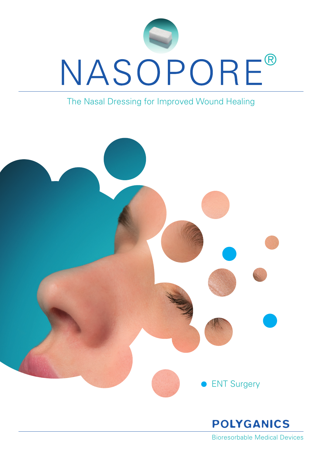

### The Nasal Dressing for Improved Wound Healing



Bioresorbable Medical Devices